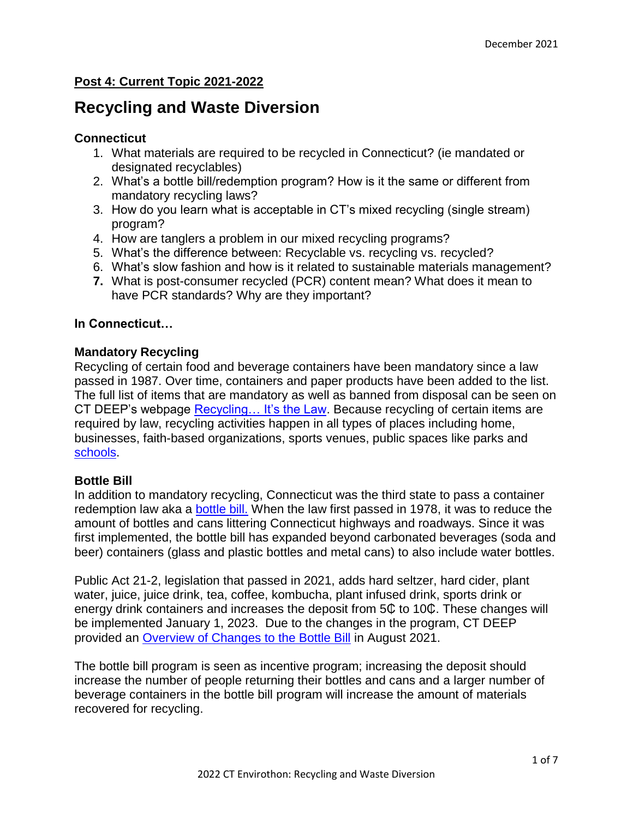# **Post 4: Current Topic 2021-2022**

# **Recycling and Waste Diversion**

#### **Connecticut**

- 1. What materials are required to be recycled in Connecticut? (ie mandated or designated recyclables)
- 2. What's a bottle bill/redemption program? How is it the same or different from mandatory recycling laws?
- 3. How do you learn what is acceptable in CT's mixed recycling (single stream) program?
- 4. How are tanglers a problem in our mixed recycling programs?
- 5. What's the difference between: Recyclable vs. recycling vs. recycled?
- 6. What's slow fashion and how is it related to sustainable materials management?
- **7.** What is post-consumer recycled (PCR) content mean? What does it mean to have PCR standards? Why are they important?

## **In Connecticut…**

## **Mandatory Recycling**

Recycling of certain food and beverage containers have been mandatory since a law passed in 1987. Over time, containers and paper products have been added to the list. The full list of items that are mandatory as well as banned from disposal can be seen on CT DEEP's webpage Recycling... It's the Law. Because recycling of certain items are required by law, recycling activities happen in all types of places including home, businesses, faith-based organizations, sports venues, public spaces like parks and [schools.](https://portal.ct.gov/DEEP/Reduce-Reuse-Recycle/Schools/School-and-Institution-Recycling-Main-Page)

## **Bottle Bill**

In addition to mandatory recycling, Connecticut was the third state to pass a container redemption law aka a [bottle bill.](https://portal.ct.gov/DEEP/Reduce-Reuse-Recycle/Bottles/Connecticut-Bottle-Bill) When the law first passed in 1978, it was to reduce the amount of bottles and cans littering Connecticut highways and roadways. Since it was first implemented, the bottle bill has expanded beyond carbonated beverages (soda and beer) containers (glass and plastic bottles and metal cans) to also include water bottles.

Public Act 21-2, legislation that passed in 2021, adds hard seltzer, hard cider, plant water, juice, juice drink, tea, coffee, kombucha, plant infused drink, sports drink or energy drink containers and increases the deposit from 5 $\mathbb C$  to 10 $\mathbb C$ . These changes will be implemented January 1, 2023. Due to the changes in the program, CT DEEP provided an [Overview of Changes to the Bottle Bill](https://portal.ct.gov/-/media/DEEP/reduce_reuse_recycle/bottles/CT-Bottle-Bill-Program-overview---Aug-2021.pdf) in August 2021.

The bottle bill program is seen as incentive program; increasing the deposit should increase the number of people returning their bottles and cans and a larger number of beverage containers in the bottle bill program will increase the amount of materials recovered for recycling.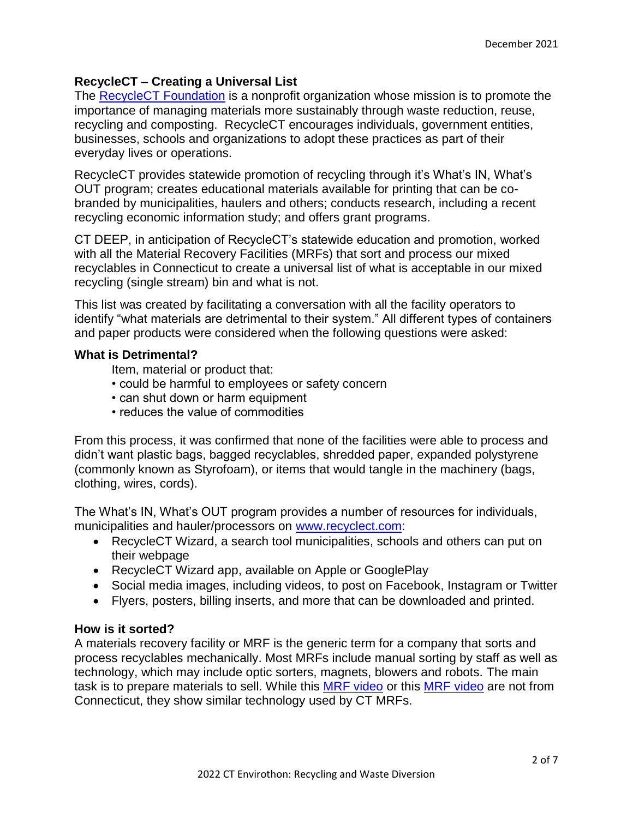# **RecycleCT – Creating a Universal List**

The [RecycleCT Foundation](https://www.recyclect.com/) is a nonprofit organization whose mission is to promote the importance of managing materials more sustainably through waste reduction, reuse, recycling and composting. RecycleCT encourages individuals, government entities, businesses, schools and organizations to adopt these practices as part of their everyday lives or operations.

RecycleCT provides statewide promotion of recycling through it's What's IN, What's OUT program; creates educational materials available for printing that can be cobranded by municipalities, haulers and others; conducts research, including a recent recycling economic information study; and offers grant programs.

CT DEEP, in anticipation of RecycleCT's statewide education and promotion, worked with all the Material Recovery Facilities (MRFs) that sort and process our mixed recyclables in Connecticut to create a universal list of what is acceptable in our mixed recycling (single stream) bin and what is not.

This list was created by facilitating a conversation with all the facility operators to identify "what materials are detrimental to their system." All different types of containers and paper products were considered when the following questions were asked:

## **What is Detrimental?**

Item, material or product that:

- could be harmful to employees or safety concern
- can shut down or harm equipment
- reduces the value of commodities

From this process, it was confirmed that none of the facilities were able to process and didn't want plastic bags, bagged recyclables, shredded paper, expanded polystyrene (commonly known as Styrofoam), or items that would tangle in the machinery (bags, clothing, wires, cords).

The What's IN, What's OUT program provides a number of resources for individuals, municipalities and hauler/processors on [www.recyclect.com:](http://www.recyclect.com/)

- RecycleCT Wizard, a search tool municipalities, schools and others can put on their webpage
- RecycleCT Wizard app, available on Apple or GooglePlay
- Social media images, including videos, to post on Facebook, Instagram or Twitter
- Flyers, posters, billing inserts, and more that can be downloaded and printed.

# **How is it sorted?**

A materials recovery facility or MRF is the generic term for a company that sorts and process recyclables mechanically. Most MRFs include manual sorting by staff as well as technology, which may include optic sorters, magnets, blowers and robots. The main task is to prepare materials to sell. While this [MRF video](https://www.youtube.com/watch?v=zmMAIYMfw9k) or this [MRF video](https://www.youtube.com/watch?v=DM2sW3Bri9g) are not from Connecticut, they show similar technology used by CT MRFs.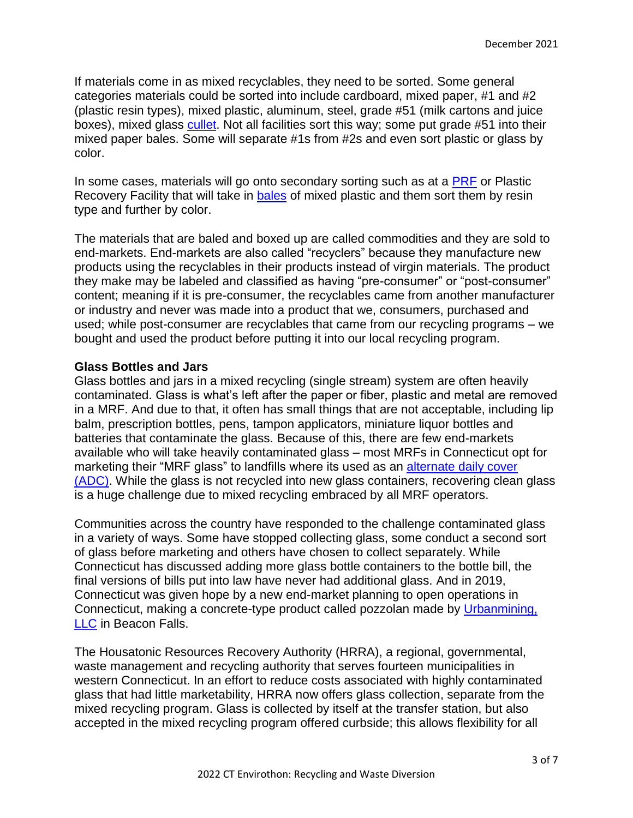If materials come in as mixed recyclables, they need to be sorted. Some general categories materials could be sorted into include cardboard, mixed paper, #1 and #2 (plastic resin types), mixed plastic, aluminum, steel, grade #51 (milk cartons and juice boxes), mixed glass [cullet.](https://portal.ct.gov/DEEP/Reduce-Reuse-Recycle/Municipal-Recycling-Resource-Center/Glossary-of-Recycling--Solid-Waste-Terms#C) Not all facilities sort this way; some put grade #51 into their mixed paper bales. Some will separate #1s from #2s and even sort plastic or glass by color.

In some cases, materials will go onto secondary sorting such as at a [PRF](https://www.youtube.com/watch?v=WivbOtQkAVU) or Plastic Recovery Facility that will take in [bales](https://portal.ct.gov/DEEP/Reduce-Reuse-Recycle/Municipal-Recycling-Resource-Center/Glossary-of-Recycling--Solid-Waste-Terms#B) of mixed plastic and them sort them by resin type and further by color.

The materials that are baled and boxed up are called commodities and they are sold to end-markets. End-markets are also called "recyclers" because they manufacture new products using the recyclables in their products instead of virgin materials. The product they make may be labeled and classified as having "pre-consumer" or "post-consumer" content; meaning if it is pre-consumer, the recyclables came from another manufacturer or industry and never was made into a product that we, consumers, purchased and used; while post-consumer are recyclables that came from our recycling programs – we bought and used the product before putting it into our local recycling program.

# **Glass Bottles and Jars**

Glass bottles and jars in a mixed recycling (single stream) system are often heavily contaminated. Glass is what's left after the paper or fiber, plastic and metal are removed in a MRF. And due to that, it often has small things that are not acceptable, including lip balm, prescription bottles, pens, tampon applicators, miniature liquor bottles and batteries that contaminate the glass. Because of this, there are few end-markets available who will take heavily contaminated glass – most MRFs in Connecticut opt for marketing their "MRF glass" to landfills where its used as an [alternate daily cover](https://www.waste360.com/Landfill_Management/landfill-alternative-daily-covers-201101) [\(ADC\).](https://www.waste360.com/Landfill_Management/landfill-alternative-daily-covers-201101) While the glass is not recycled into new glass containers, recovering clean glass is a huge challenge due to mixed recycling embraced by all MRF operators.

Communities across the country have responded to the challenge contaminated glass in a variety of ways. Some have stopped collecting glass, some conduct a second sort of glass before marketing and others have chosen to collect separately. While Connecticut has discussed adding more glass bottle containers to the bottle bill, the final versions of bills put into law have never had additional glass. And in 2019, Connecticut was given hope by a new end-market planning to open operations in Connecticut, making a concrete-type product called pozzolan made by [Urbanmining,](https://pozzotive.com/)  [LLC](https://pozzotive.com/) in Beacon Falls.

The Housatonic Resources Recovery Authority (HRRA), a regional, governmental, waste management and recycling authority that serves fourteen municipalities in western Connecticut. In an effort to reduce costs associated with highly contaminated glass that had little marketability, HRRA now offers glass collection, separate from the mixed recycling program. Glass is collected by itself at the transfer station, but also accepted in the mixed recycling program offered curbside; this allows flexibility for all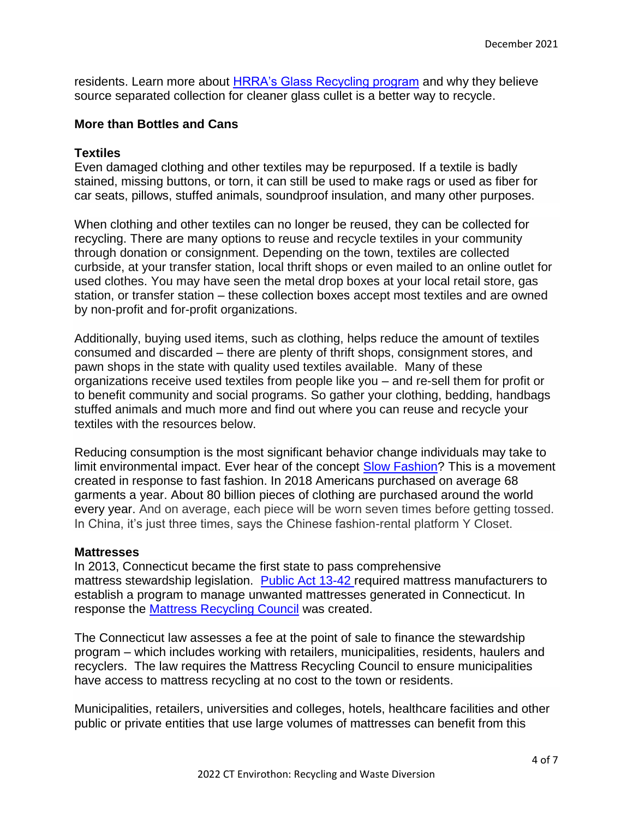residents. Learn more about [HRRA's Glass Recycling program](https://hrra.org/glass-recycling/) and why they believe source separated collection for cleaner glass cullet is a better way to recycle.

#### **More than Bottles and Cans**

#### **Textiles**

Even damaged clothing and other textiles may be repurposed. If a textile is badly stained, missing buttons, or torn, it can still be used to make rags or used as fiber for car seats, pillows, stuffed animals, soundproof insulation, and many other purposes.

When clothing and other textiles can no longer be reused, they can be collected for recycling. There are many options to reuse and recycle textiles in your community through donation or consignment. Depending on the town, textiles are collected curbside, at your transfer station, local thrift shops or even mailed to an online outlet for used clothes. You may have seen the metal drop boxes at your local retail store, gas station, or transfer station – these collection boxes accept most textiles and are owned by non-profit and for-profit organizations.

Additionally, buying used items, such as clothing, helps reduce the amount of textiles consumed and discarded – there are plenty of thrift shops, consignment stores, and pawn shops in the state with quality used textiles available. Many of these organizations receive used textiles from people like you – and re-sell them for profit or to benefit community and social programs. So gather your clothing, bedding, handbags stuffed animals and much more and find out where you can reuse and recycle your textiles with the resources below.

Reducing consumption is the most significant behavior change individuals may take to limit environmental impact. Ever hear of the concept [Slow Fashion?](https://theecologist.org/2007/jun/01/slow-fashion) This is a movement created in response to fast fashion. In 2018 Americans purchased on average 68 garments a year. About 80 billion pieces of clothing are purchased around the world every year. And on average, each piece will be worn seven times before getting tossed. In China, it's just three times, says the Chinese fashion-rental platform Y Closet.

#### **Mattresses**

In 2013, Connecticut became the first state to pass comprehensive mattress stewardship legislation. [Public Act 13-42](https://www.cga.ct.gov/2013/ACT/pa/pdf/2013PA-00042-R00HB-06437-PA.pdf) required mattress manufacturers to establish a program to manage unwanted mattresses generated in Connecticut. In response the [Mattress Recycling Council](https://mattressrecyclingcouncil.org/programs/connecticut/) was created.

The Connecticut law assesses a fee at the point of sale to finance the stewardship program – which includes working with retailers, municipalities, residents, haulers and recyclers. The law requires the Mattress Recycling Council to ensure municipalities have access to mattress recycling at no cost to the town or residents.

Municipalities, retailers, universities and colleges, hotels, healthcare facilities and other public or private entities that use large volumes of mattresses can benefit from this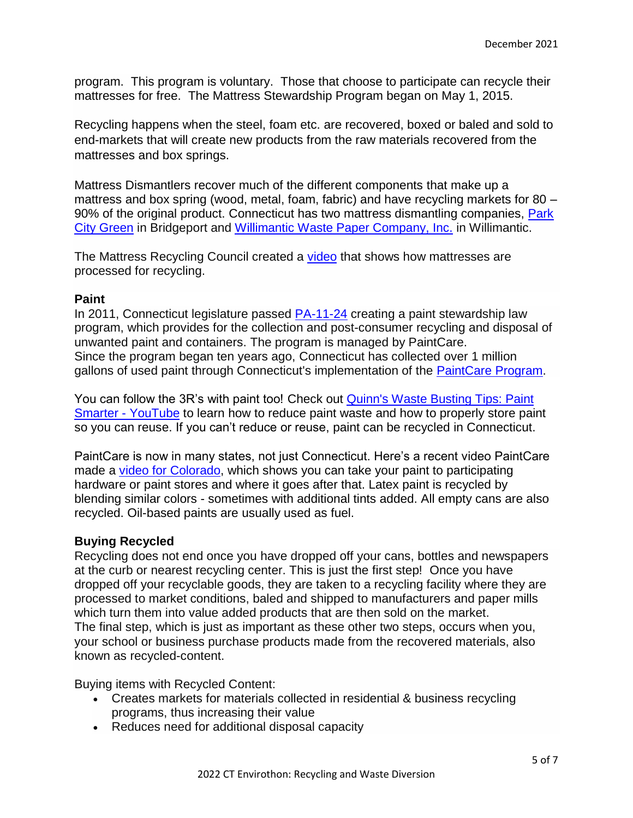program. This program is voluntary. Those that choose to participate can recycle their mattresses for free. The Mattress Stewardship Program began on May 1, 2015.

Recycling happens when the steel, foam etc. are recovered, boxed or baled and sold to end-markets that will create new products from the raw materials recovered from the mattresses and box springs.

Mattress Dismantlers recover much of the different components that make up a mattress and box spring (wood, metal, foam, fabric) and have recycling markets for 80 – 90% of the original product. Connecticut has two mattress dismantling companies, Park [City Green](https://greenteambpt.com/park-city-green-mattress-recycling/) in Bridgeport and [Willimantic Waste Paper Company, Inc.](http://williwaste.com/) in Willimantic.

The Mattress Recycling Council created a [video](https://www.youtube.com/watch?app=desktop&v=xzvc9Z9iBf8&list=PL7KFY2SIjTau-dTdHeiWrMMC1kMAsmG_c&index=7&t=74s) that shows how mattresses are processed for recycling.

#### **Paint**

In 2011, Connecticut legislature passed [PA-11-24](https://www.cga.ct.gov/2011/ACT/PA/2011PA-00024-R00SB-00828-PA.htm) creating a paint stewardship law program, which provides for the collection and post-consumer recycling and disposal of unwanted paint and containers. The program is managed by PaintCare. Since the program began ten years ago, Connecticut has collected over 1 million gallons of used paint through Connecticut's implementation of the [PaintCare Program.](https://www.paintcare.org/)

You can follow the 3R's with paint too! Check out [Quinn's Waste Busting Tips: Paint](https://www.youtube.com/watch?v=sBSDzQ8AwLM)  [Smarter -](https://www.youtube.com/watch?v=sBSDzQ8AwLM) YouTube to learn how to reduce paint waste and how to properly store paint so you can reuse. If you can't reduce or reuse, paint can be recycled in Connecticut.

PaintCare is now in many states, not just Connecticut. Here's a recent video PaintCare made a [video for Colorado,](https://www.youtube.com/watch?v=clDoaiytWuE) which shows you can take your paint to participating hardware or paint stores and where it goes after that. Latex paint is recycled by blending similar colors - sometimes with additional tints added. All empty cans are also recycled. Oil-based paints are usually used as fuel.

## **Buying Recycled**

Recycling does not end once you have dropped off your cans, bottles and newspapers at the curb or nearest recycling center. This is just the first step!Once you have dropped off your recyclable goods, they are taken to a recycling facility where they are processed to market conditions, baled and shipped to manufacturers and paper mills which turn them into value added products that are then sold on the market. The final step, which is just as important as these other two steps, occurs when you, your school or business purchase products made from the recovered materials, also known as recycled-content.

Buying items with Recycled Content:

- Creates markets for materials collected in residential & business recycling programs, thus increasing their value
- Reduces need for additional disposal capacity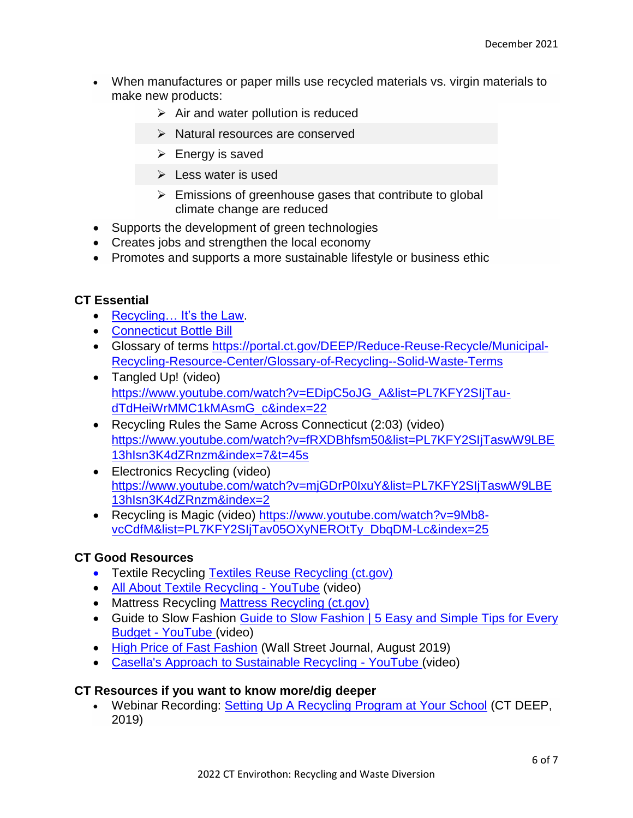- When manufactures or paper mills use recycled materials vs. virgin materials to make new products:
	- $\triangleright$  Air and water pollution is reduced
	- $\triangleright$  Natural resources are conserved
	- $\triangleright$  Energy is saved
	- $\triangleright$  Less water is used
	- $\triangleright$  Emissions of greenhouse gases that contribute to global climate change are reduced
- Supports the development of green technologies
- Creates jobs and strengthen the local economy
- Promotes and supports a more sustainable lifestyle or business ethic

# **CT Essential**

- Recycling... It's the Law.
- [Connecticut Bottle Bill](https://portal.ct.gov/DEEP/Reduce-Reuse-Recycle/Bottles/Connecticut-Bottle-Bill)
- Glossary of terms [https://portal.ct.gov/DEEP/Reduce-Reuse-Recycle/Municipal-](https://portal.ct.gov/DEEP/Reduce-Reuse-Recycle/Municipal-Recycling-Resource-Center/Glossary-of-Recycling--Solid-Waste-Terms)[Recycling-Resource-Center/Glossary-of-Recycling--Solid-Waste-Terms](https://portal.ct.gov/DEEP/Reduce-Reuse-Recycle/Municipal-Recycling-Resource-Center/Glossary-of-Recycling--Solid-Waste-Terms)
- Tangled Up! (video) [https://www.youtube.com/watch?v=EDipC5oJG\\_A&list=PL7KFY2SIjTau](https://www.youtube.com/watch?v=EDipC5oJG_A&list=PL7KFY2SIjTau-dTdHeiWrMMC1kMAsmG_c&index=22)[dTdHeiWrMMC1kMAsmG\\_c&index=22](https://www.youtube.com/watch?v=EDipC5oJG_A&list=PL7KFY2SIjTau-dTdHeiWrMMC1kMAsmG_c&index=22)
- Recycling Rules the Same Across Connecticut (2:03) (video) [https://www.youtube.com/watch?v=fRXDBhfsm50&list=PL7KFY2SIjTaswW9LBE](https://www.youtube.com/watch?v=fRXDBhfsm50&list=PL7KFY2SIjTaswW9LBE13hIsn3K4dZRnzm&index=7&t=45s) [13hIsn3K4dZRnzm&index=7&t=45s](https://www.youtube.com/watch?v=fRXDBhfsm50&list=PL7KFY2SIjTaswW9LBE13hIsn3K4dZRnzm&index=7&t=45s)
- Electronics Recycling (video) [https://www.youtube.com/watch?v=mjGDrP0IxuY&list=PL7KFY2SIjTaswW9LBE](https://www.youtube.com/watch?v=mjGDrP0IxuY&list=PL7KFY2SIjTaswW9LBE13hIsn3K4dZRnzm&index=2) [13hIsn3K4dZRnzm&index=2](https://www.youtube.com/watch?v=mjGDrP0IxuY&list=PL7KFY2SIjTaswW9LBE13hIsn3K4dZRnzm&index=2)
- Recycling is Magic (video) [https://www.youtube.com/watch?v=9Mb8](https://www.youtube.com/watch?v=9Mb8-vcCdfM&list=PL7KFY2SIjTav05OXyNEROtTy_DbqDM-Lc&index=25) [vcCdfM&list=PL7KFY2SIjTav05OXyNEROtTy\\_DbqDM-Lc&index=25](https://www.youtube.com/watch?v=9Mb8-vcCdfM&list=PL7KFY2SIjTav05OXyNEROtTy_DbqDM-Lc&index=25)

# **CT Good Resources**

- **•** Textile Recycling [Textiles Reuse Recycling \(ct.gov\)](https://portal.ct.gov/DEEP/Reduce-Reuse-Recycle/Textiles-Reuse--Recycling)
- [All About Textile Recycling -](https://www.youtube.com/watch?v=LgLV4YUqZb8) YouTube (video)
- Mattress Recycling [Mattress Recycling \(ct.gov\)](https://portal.ct.gov/DEEP/Reduce-Reuse-Recycle/Recycling/Mattress-Recycling)
- Guide to Slow Fashion Guide to Slow Fashion | 5 Easy and Simple Tips for Every Budget - [YouTube](https://www.youtube.com/watch?v=3QDLpcvquvE) (video)
- [High Price of Fast Fashion](https://www.wsj.com/articles/the-high-price-of-fast-fashion-11567096637) (Wall Street Journal, August 2019)
- [Casella's Approach to Sustainable Recycling -](https://www.youtube.com/watch?v=W9h3kYokD3Y) YouTube (video)

## **CT Resources if you want to know more/dig deeper**

 Webinar Recording: [Setting Up A Recycling Program at Your School](https://ctdeep.zoom.us/recording/play/v7VrfVAyxQZDSP-WMZDkDQoiscc32VxgXo9MUbZP4o_110Evr7dJToMVKlrdQRZa?autoplay=true&startTime=1576525205000) (CT DEEP, 2019)